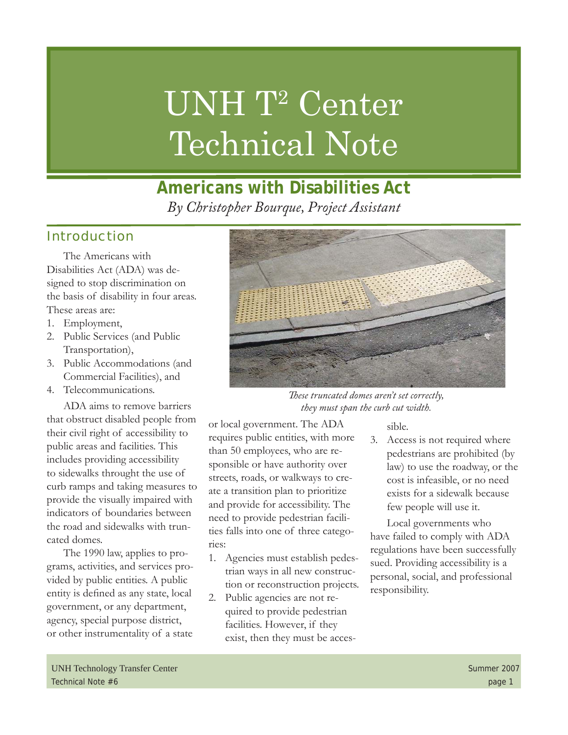# UNH T<sup>2</sup> Center Technical Note

# **Americans with Disabilities Act** *By Christopher Bourque, Project Assistant*

### Introduction

The Americans with Disabilities Act (ADA) was designed to stop discrimination on the basis of disability in four areas. These areas are:

- Employment, 1.
- 2. Public Services (and Public Transportation),
- Public Accommodations (and 3. Commercial Facilities), and
- Telecommunications. 4.

ADA aims to remove barriers that obstruct disabled people from their civil right of accessibility to public areas and facilities. This includes providing accessibility to sidewalks throught the use of curb ramps and taking measures to provide the visually impaired with indicators of boundaries between the road and sidewalks with truncated domes.

The 1990 law, applies to programs, activities, and services provided by public entities. A public entity is defined as any state, local government, or any department, agency, special purpose district, or other instrumentality of a state



*Th ese truncated domes aren't set correctly, they must span the curb cut width.* 

or local government. The ADA requires public entities, with more than 50 employees, who are responsible or have authority over streets, roads, or walkways to create a transition plan to prioritize and provide for accessibility. The need to provide pedestrian facilities falls into one of three categories:

- Agencies must establish pedes-1. trian ways in all new construction or reconstruction projects.
- Public agencies are not required to provide pedestrian facilities. However, if they exist, then they must be acces-2.

sible.

3. Access is not required where pedestrians are prohibited (by law) to use the roadway, or the cost is infeasible, or no need exists for a sidewalk because few people will use it.

Local governments who have failed to comply with ADA regulations have been successfully sued. Providing accessibility is a personal, social, and professional responsibility.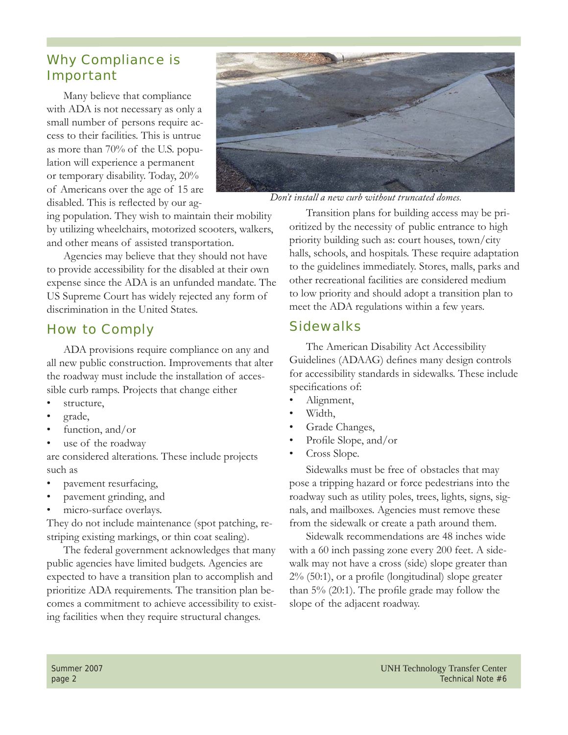#### Why Compliance is Important

Many believe that compliance with ADA is not necessary as only a small number of persons require access to their facilities. This is untrue as more than 70% of the U.S. population will experience a permanent or temporary disability. Today, 20% of Americans over the age of 15 are disabled. This is reflected by our ag-



*Don't install a new curb without truncated domes.*

ing population. They wish to maintain their mobility by utilizing wheelchairs, motorized scooters, walkers, and other means of assisted transportation.

Agencies may believe that they should not have to provide accessibility for the disabled at their own expense since the ADA is an unfunded mandate. The US Supreme Court has widely rejected any form of discrimination in the United States.

### How to Comply

ADA provisions require compliance on any and all new public construction. Improvements that alter the roadway must include the installation of accessible curb ramps. Projects that change either

- structure, •
- grade, •
- function, and/or •
- use of the roadway •

are considered alterations. These include projects such as

- pavement resurfacing, •
- pavement grinding, and •
- micro-surface overlays. •

They do not include maintenance (spot patching, restriping existing markings, or thin coat sealing).

The federal government acknowledges that many public agencies have limited budgets. Agencies are expected to have a transition plan to accomplish and prioritize ADA requirements. The transition plan becomes a commitment to achieve accessibility to existing facilities when they require structural changes.

Transition plans for building access may be prioritized by the necessity of public entrance to high priority building such as: court houses, town/city halls, schools, and hospitals. These require adaptation to the guidelines immediately. Stores, malls, parks and other recreational facilities are considered medium to low priority and should adopt a transition plan to meet the ADA regulations within a few years.

#### **Sidewalks**

The American Disability Act Accessibility Guidelines (ADAAG) defines many design controls for accessibility standards in sidewalks. These include specifications of:

- Alignment, •
- Width, •
- Grade Changes, •
- Profile Slope, and/or •
- Cross Slope. •

Sidewalks must be free of obstacles that may pose a tripping hazard or force pedestrians into the roadway such as utility poles, trees, lights, signs, signals, and mailboxes. Agencies must remove these from the sidewalk or create a path around them.

Sidewalk recommendations are 48 inches wide with a 60 inch passing zone every 200 feet. A sidewalk may not have a cross (side) slope greater than  $2\%$  (50:1), or a profile (longitudinal) slope greater than  $5\%$  (20:1). The profile grade may follow the slope of the adjacent roadway.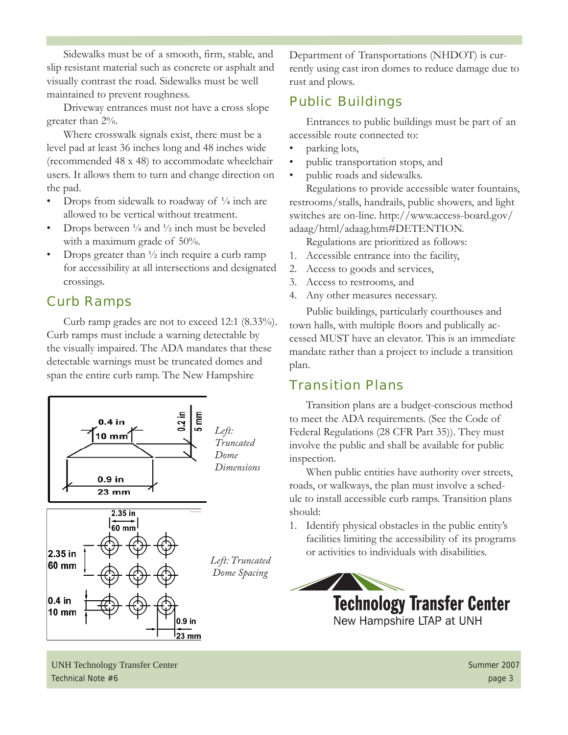Sidewalks must be of a smooth, firm, stable, and slip resistant material such as concrete or asphalt and visually contrast the road. Sidewalks must be well maintained to prevent roughness.

Driveway entrances must not have a cross slope greater than 2%.

Where crosswalk signals exist, there must be a level pad at least 36 inches long and 48 inches wide (recommended 48 x 48) to accommodate wheelchair users. It allows them to turn and change direction on the pad.

- Drops from sidewalk to roadway of  $\frac{1}{4}$  inch are allowed to be vertical without treatment. •
- Drops between  $\frac{1}{4}$  and  $\frac{1}{2}$  inch must be beveled with a maximum grade of 50%. •
- Drops greater than  $\frac{1}{2}$  inch require a curb ramp for accessibility at all intersections and designated crossings. •

### Curb Ramps

Curb ramp grades are not to exceed 12:1 (8.33%). Curb ramps must include a warning detectable by the visually impaired. The ADA mandates that these detectable warnings must be truncated domes and span the entire curb ramp. The New Hampshire



Department of Transportations (NHDOT) is currently using cast iron domes to reduce damage due to rust and plows.

## Public Buildings

Entrances to public buildings must be part of an accessible route connected to:

- parking lots, •
- public transportation stops, and •
- public roads and sidewalks. •

Regulations to provide accessible water fountains, restrooms/stalls, handrails, public showers, and light switches are on-line. http://www.access-board.gov/ adaag/html/adaag.htm#DETENTION.

- Regulations are prioritized as follows:
- Accessible entrance into the facility, 1.
- Access to goods and services, 2.
- Access to restrooms, and 3.
- Any other measures necessary. 4.

Public buildings, particularly courthouses and town halls, with multiple floors and publically accessed MUST have an elevator. This is an immediate mandate rather than a project to include a transition plan.

#### Transition Plans

Transition plans are a budget-conscious method to meet the ADA requirements. (See the Code of Federal Regulations (28 CFR Part 35)). They must involve the public and shall be available for public inspection.

When public entities have authority over streets, roads, or walkways, the plan must involve a schedule to install accessible curb ramps. Transition plans should:

1. Identify physical obstacles in the public entity's facilities limiting the accessibility of its programs or activities to individuals with disabilities.



UNH Technology Transfer Center Summer 2007 Technical Note #6 page 3 page 3 page 3 page 3 page 3 page 3 page 3 page 3 page 3 page 3 page 3 page 3 page 3 page 3